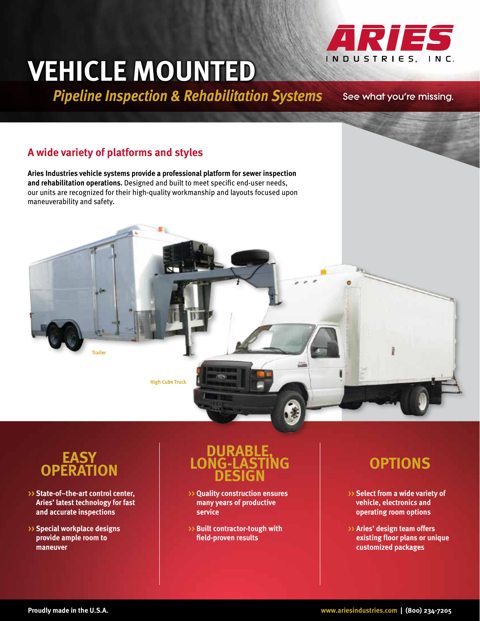# **Vehicle Mounted**

**Pipeline Inspection & Rehabilitation Systems** See what you're missing.

ARIES

INDUSTRIES, INC.

## **A wide variety of platforms and styles**

**Aries Industries vehicle systems provide a professional platform for sewer inspection and rehabilitation operations.** Designed and built to meet specific end-user needs, our units are recognized for their high-quality workmanship and layouts focused upon maneuverability and safety.





- **>> State-of–the-art control center, Aries' latest technology for fast and accurate inspections**
- **>> Special workplace designs provide ample room to maneuver**

# **DURABLE, LONG-LASTING DESIGN**

- **>> Quality construction ensures many years of productive service**
- **>> Built contractor-tough with field-proven results**

# **Options**

- **>> Select from a wide variety of vehicle, electronics and operating room options**
- **>> Aries' design team offers existing floor plans or unique customized packages**